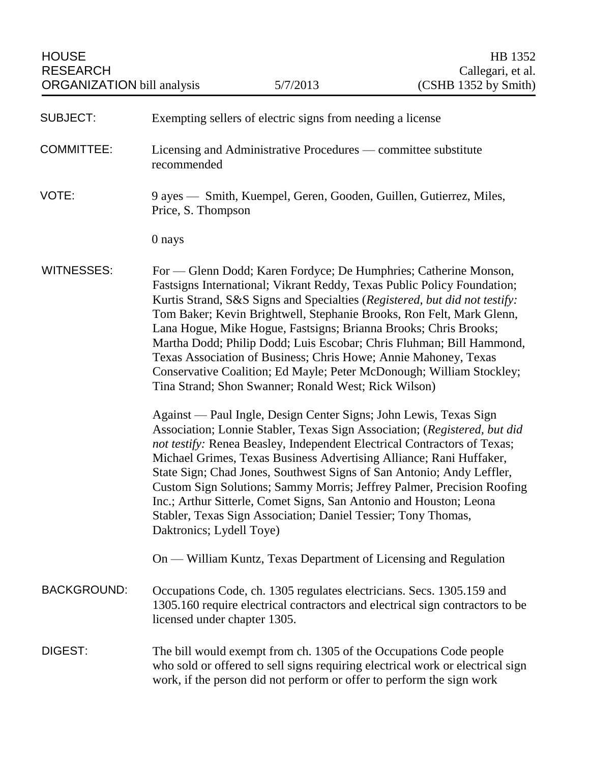| <b>SUBJECT:</b>    | Exempting sellers of electric signs from needing a license                                                                                                                                                                                                                                                                                                                                                                                                                                                                                                                                                                                       |
|--------------------|--------------------------------------------------------------------------------------------------------------------------------------------------------------------------------------------------------------------------------------------------------------------------------------------------------------------------------------------------------------------------------------------------------------------------------------------------------------------------------------------------------------------------------------------------------------------------------------------------------------------------------------------------|
| <b>COMMITTEE:</b>  | Licensing and Administrative Procedures — committee substitute<br>recommended                                                                                                                                                                                                                                                                                                                                                                                                                                                                                                                                                                    |
| VOTE:              | 9 ayes — Smith, Kuempel, Geren, Gooden, Guillen, Gutierrez, Miles,<br>Price, S. Thompson                                                                                                                                                                                                                                                                                                                                                                                                                                                                                                                                                         |
|                    | 0 nays                                                                                                                                                                                                                                                                                                                                                                                                                                                                                                                                                                                                                                           |
| <b>WITNESSES:</b>  | For — Glenn Dodd; Karen Fordyce; De Humphries; Catherine Monson,<br>Fastsigns International; Vikrant Reddy, Texas Public Policy Foundation;<br>Kurtis Strand, S&S Signs and Specialties (Registered, but did not testify:<br>Tom Baker; Kevin Brightwell, Stephanie Brooks, Ron Felt, Mark Glenn,<br>Lana Hogue, Mike Hogue, Fastsigns; Brianna Brooks; Chris Brooks;<br>Martha Dodd; Philip Dodd; Luis Escobar; Chris Fluhman; Bill Hammond,<br>Texas Association of Business; Chris Howe; Annie Mahoney, Texas<br>Conservative Coalition; Ed Mayle; Peter McDonough; William Stockley;<br>Tina Strand; Shon Swanner; Ronald West; Rick Wilson) |
|                    | Against — Paul Ingle, Design Center Signs; John Lewis, Texas Sign<br>Association; Lonnie Stabler, Texas Sign Association; (Registered, but did<br>not testify: Renea Beasley, Independent Electrical Contractors of Texas;<br>Michael Grimes, Texas Business Advertising Alliance; Rani Huffaker,<br>State Sign; Chad Jones, Southwest Signs of San Antonio; Andy Leffler,<br>Custom Sign Solutions; Sammy Morris; Jeffrey Palmer, Precision Roofing<br>Inc.; Arthur Sitterle, Comet Signs, San Antonio and Houston; Leona<br>Stabler, Texas Sign Association; Daniel Tessier; Tony Thomas,<br>Daktronics; Lydell Toye)                          |
|                    | On — William Kuntz, Texas Department of Licensing and Regulation                                                                                                                                                                                                                                                                                                                                                                                                                                                                                                                                                                                 |
| <b>BACKGROUND:</b> | Occupations Code, ch. 1305 regulates electricians. Secs. 1305.159 and<br>1305.160 require electrical contractors and electrical sign contractors to be<br>licensed under chapter 1305.                                                                                                                                                                                                                                                                                                                                                                                                                                                           |
| DIGEST:            | The bill would exempt from ch. 1305 of the Occupations Code people<br>who sold or offered to sell signs requiring electrical work or electrical sign<br>work, if the person did not perform or offer to perform the sign work                                                                                                                                                                                                                                                                                                                                                                                                                    |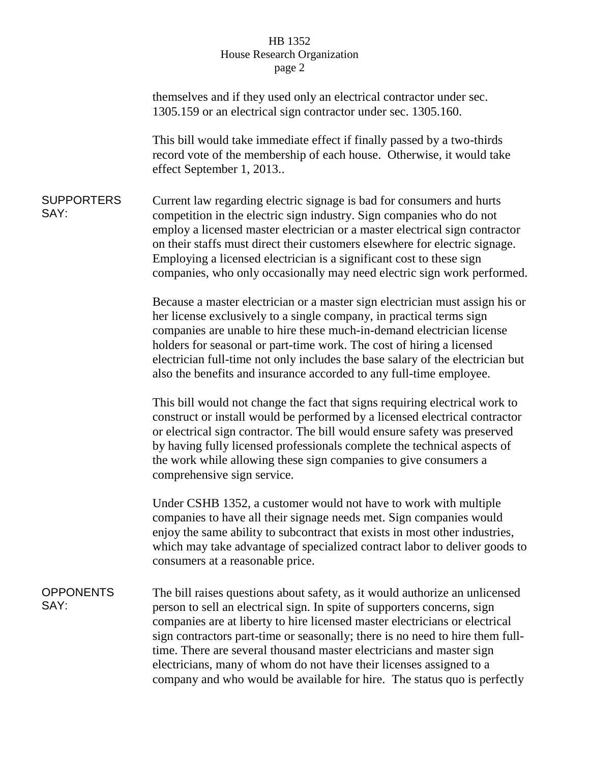## HB 1352 House Research Organization page 2

|                           | themselves and if they used only an electrical contractor under sec.<br>1305.159 or an electrical sign contractor under sec. 1305.160.                                                                                                                                                                                                                                                                                                                                                                                                             |
|---------------------------|----------------------------------------------------------------------------------------------------------------------------------------------------------------------------------------------------------------------------------------------------------------------------------------------------------------------------------------------------------------------------------------------------------------------------------------------------------------------------------------------------------------------------------------------------|
|                           | This bill would take immediate effect if finally passed by a two-thirds<br>record vote of the membership of each house. Otherwise, it would take<br>effect September 1, 2013                                                                                                                                                                                                                                                                                                                                                                       |
| <b>SUPPORTERS</b><br>SAY: | Current law regarding electric signage is bad for consumers and hurts<br>competition in the electric sign industry. Sign companies who do not<br>employ a licensed master electrician or a master electrical sign contractor<br>on their staffs must direct their customers elsewhere for electric signage.<br>Employing a licensed electrician is a significant cost to these sign<br>companies, who only occasionally may need electric sign work performed.                                                                                     |
|                           | Because a master electrician or a master sign electrician must assign his or<br>her license exclusively to a single company, in practical terms sign<br>companies are unable to hire these much-in-demand electrician license<br>holders for seasonal or part-time work. The cost of hiring a licensed<br>electrician full-time not only includes the base salary of the electrician but<br>also the benefits and insurance accorded to any full-time employee.                                                                                    |
|                           | This bill would not change the fact that signs requiring electrical work to<br>construct or install would be performed by a licensed electrical contractor<br>or electrical sign contractor. The bill would ensure safety was preserved<br>by having fully licensed professionals complete the technical aspects of<br>the work while allowing these sign companies to give consumers a<br>comprehensive sign service.                                                                                                                             |
|                           | Under CSHB 1352, a customer would not have to work with multiple<br>companies to have all their signage needs met. Sign companies would<br>enjoy the same ability to subcontract that exists in most other industries,<br>which may take advantage of specialized contract labor to deliver goods to<br>consumers at a reasonable price.                                                                                                                                                                                                           |
| <b>OPPONENTS</b><br>SAY:  | The bill raises questions about safety, as it would authorize an unlicensed<br>person to sell an electrical sign. In spite of supporters concerns, sign<br>companies are at liberty to hire licensed master electricians or electrical<br>sign contractors part-time or seasonally; there is no need to hire them full-<br>time. There are several thousand master electricians and master sign<br>electricians, many of whom do not have their licenses assigned to a<br>company and who would be available for hire. The status quo is perfectly |